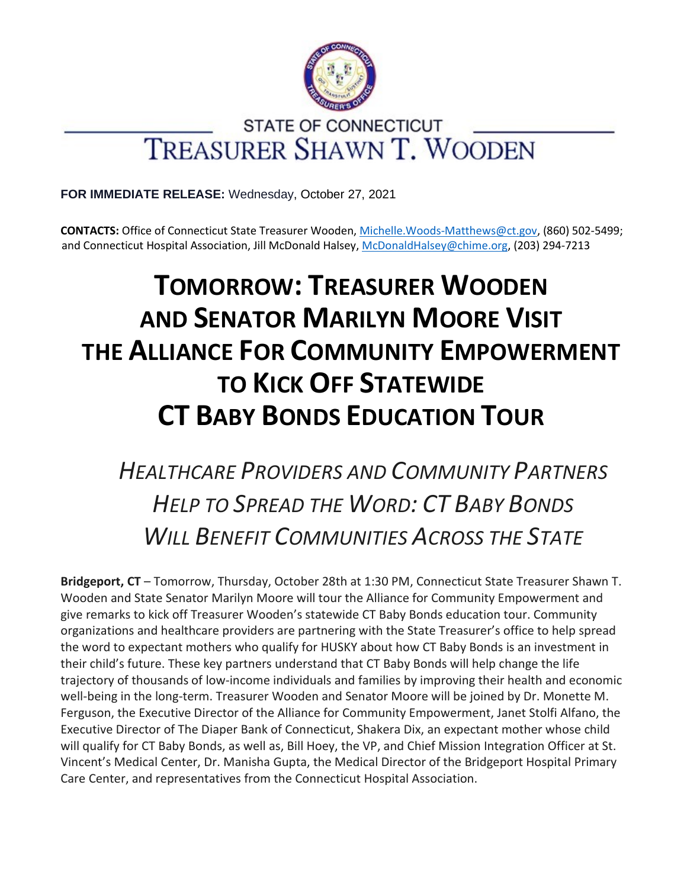

# STATE OF CONNECTICUT **TREASURER SHAWN T. WOODEN**

**FOR IMMEDIATE RELEASE:** Wednesday, October 27, 2021

**CONTACTS:** Office of Connecticut State Treasurer Wooden[, Michelle.Woods-Matthews@ct.gov,](mailto:Michelle.Woods-Matthews@ct.gov) (860) 502-5499; and Connecticut Hospital Association, Jill McDonald Halsey[, McDonaldHalsey@chime.org,](mailto:McDonaldHalsey@chime.org) (203) 294-7213

# **TOMORROW: TREASURER WOODEN AND SENATOR MARILYN MOORE VISIT THE ALLIANCE FOR COMMUNITY EMPOWERMENT TO KICK OFF STATEWIDE CT BABY BONDS EDUCATION TOUR**

*HEALTHCARE PROVIDERS AND COMMUNITY PARTNERS HELP TO SPREAD THE WORD: CT BABY BONDS WILL BENEFIT COMMUNITIES ACROSS THE STATE*

**Bridgeport, CT** – Tomorrow, Thursday, October 28th at 1:30 PM, Connecticut State Treasurer Shawn T. Wooden and State Senator Marilyn Moore will tour the Alliance for Community Empowerment and give remarks to kick off Treasurer Wooden's statewide CT Baby Bonds education tour. Community organizations and healthcare providers are partnering with the State Treasurer's office to help spread the word to expectant mothers who qualify for HUSKY about how CT Baby Bonds is an investment in their child's future. These key partners understand that CT Baby Bonds will help change the life trajectory of thousands of low-income individuals and families by improving their health and economic well-being in the long-term. Treasurer Wooden and Senator Moore will be joined by Dr. Monette M. Ferguson, the Executive Director of the Alliance for Community Empowerment, Janet Stolfi Alfano, the Executive Director of The Diaper Bank of Connecticut, Shakera Dix, an expectant mother whose child will qualify for CT Baby Bonds, as well as, Bill Hoey, the VP, and Chief Mission Integration Officer at St. Vincent's Medical Center, Dr. Manisha Gupta, the Medical Director of the Bridgeport Hospital Primary Care Center, and representatives from the Connecticut Hospital Association.